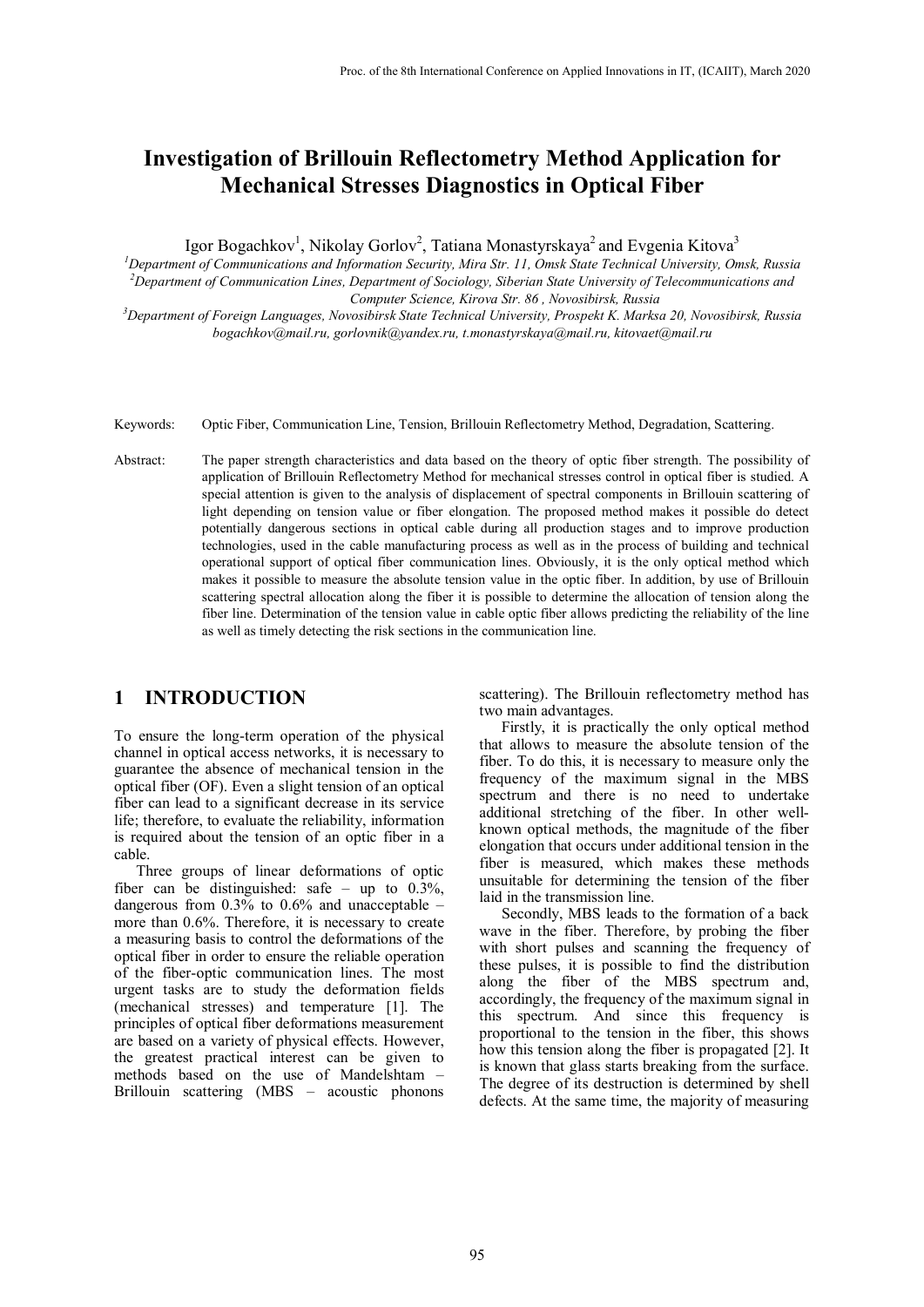# **Investigation of Brillouin Reflectometry Method Application for Mechanical Stresses Diagnostics in Optical Fiber**

Igor Bogachkov $^{\rm l}$ , Nikolay Gorlov $^{\rm 2}$ , Tatiana Monastyrskaya $^{\rm 2}$  and Evgenia Kitova $^{\rm 3}$ 

*1 Department of Communications and Information Security, Mira Str. 11, Omsk State Technical University, Omsk, Russia 2 Department of Communication Lines, Department of Sociology, Siberian State University of Telecommunications and Computer Science, Kirova Str. 86 , Novosibirsk, Russia*

*3 Department of Foreign Languages, Novosibirsk State Technical University, Prospekt K. Marksa 20, Novosibirsk, Russia [bogachkov@mail.ru,](mailto:bogachkov@mail.ru) [gorlovnik@yandex.ru,](mailto:gorlovnik@yandex.ru) [t.monastyrskaya@mail.ru,](mailto:t.monastyrskaya@mail.ru) kitovaet@mail.ru*

Keywords: Optic Fiber, Communication Line, Tension, Brillouin Reflectometry Method, Degradation, Scattering.

Abstract: The paper strength characteristics and data based on the theory of optic fiber strength. The possibility of application of Brillouin Reflectometry Method for mechanical stresses control in optical fiber is studied. A special attention is given to the analysis of displacement of spectral components in Brillouin scattering of light depending on tension value or fiber elongation. The proposed method makes it possible do detect potentially dangerous sections in optical cable during all production stages and to improve production technologies, used in the cable manufacturing process as well as in the process of building and technical operational support of optical fiber communication lines. Obviously, it is the only optical method which makes it possible to measure the absolute tension value in the optic fiber. In addition, by use of Brillouin scattering spectral allocation along the fiber it is possible to determine the allocation of tension along the fiber line. Determination of the tension value in cable optic fiber allows predicting the reliability of the line as well as timely detecting the risk sections in the communication line.

### **1 INTRODUCTION**

To ensure the long-term operation of the physical channel in optical access networks, it is necessary to guarantee the absence of mechanical tension in the optical fiber (OF). Even a slight tension of an optical fiber can lead to a significant decrease in its service life; therefore, to evaluate the reliability, information is required about the tension of an optic fiber in a cable.

Three groups of linear deformations of optic fiber can be distinguished: safe – up to 0.3%, dangerous from 0.3% to 0.6% and unacceptable – more than 0.6%. Therefore, it is necessary to create a measuring basis to control the deformations of the optical fiber in order to ensure the reliable operation of the fiber-optic communication lines. The most urgent tasks are to study the deformation fields (mechanical stresses) and temperature [1]. The principles of optical fiber deformations measurement are based on a variety of physical effects. However, the greatest practical interest can be given to methods based on the use of Mandelshtam – Brillouin scattering (MBS – acoustic phonons

scattering). The Brillouin reflectometry method has two main advantages.

Firstly, it is practically the only optical method that allows to measure the absolute tension of the fiber. To do this, it is necessary to measure only the frequency of the maximum signal in the MBS spectrum and there is no need to undertake additional stretching of the fiber. In other wellknown optical methods, the magnitude of the fiber elongation that occurs under additional tension in the fiber is measured, which makes these methods unsuitable for determining the tension of the fiber laid in the transmission line.

Secondly, MBS leads to the formation of a back wave in the fiber. Therefore, by probing the fiber with short pulses and scanning the frequency of these pulses, it is possible to find the distribution along the fiber of the MBS spectrum and, accordingly, the frequency of the maximum signal in this spectrum. And since this frequency is proportional to the tension in the fiber, this shows how this tension along the fiber is propagated [2]. It is known that glass starts breaking from the surface. The degree of its destruction is determined by shell defects. At the same time, the majority of measuring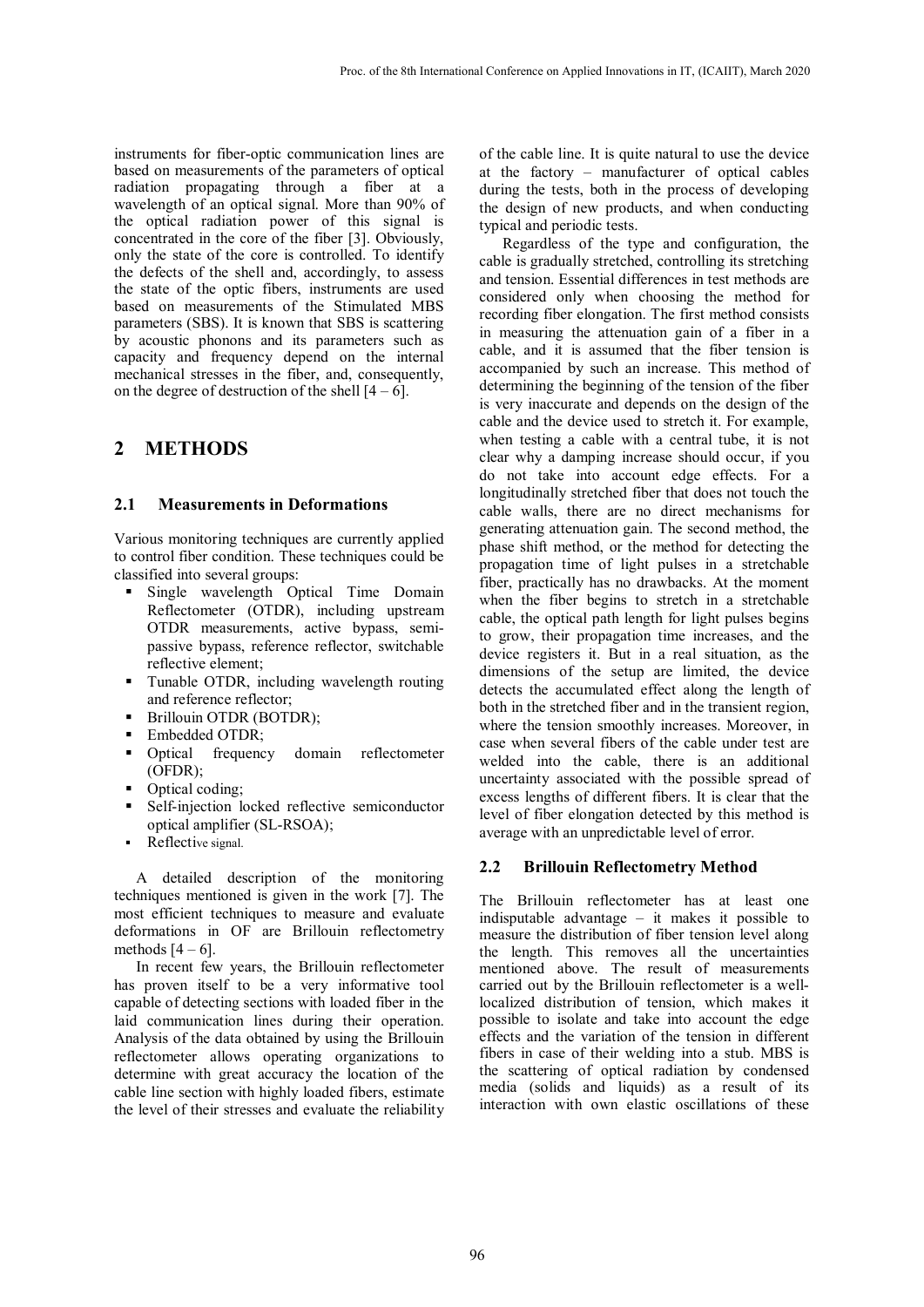instruments for fiber-optic communication lines are based on measurements of the parameters of optical radiation propagating through a fiber at a wavelength of an optical signal. More than 90% of the optical radiation power of this signal is concentrated in the core of the fiber [3]. Obviously, only the state of the core is controlled. To identify the defects of the shell and, accordingly, to assess the state of the optic fibers, instruments are used based on measurements of the Stimulated MBS parameters (SBS). It is known that SBS is scattering by acoustic phonons and its parameters such as capacity and frequency depend on the internal mechanical stresses in the fiber, and, consequently, on the degree of destruction of the shell  $[4 - 6]$ .

## **2 METHODS**

#### **2.1 Measurements in Deformations**

Various monitoring techniques are currently applied to control fiber condition. These techniques could be classified into several groups:

- **Single wavelength Optical Time Domain** Reflectometer (OTDR), including upstream OTDR measurements, active bypass, semipassive bypass, reference reflector, switchable reflective element;
- Tunable OTDR, including wavelength routing and reference reflector;
- Brillouin OTDR (BOTDR);
- Embedded OTDR;
- Optical frequency domain reflectometer (OFDR);
- Optical coding;
- Self-injection locked reflective semiconductor optical amplifier (SL-RSOA);
- Reflective signal.

A detailed description of the monitoring techniques mentioned is given in the work [7]. The most efficient techniques to measure and evaluate deformations in OF are Brillouin reflectometry methods  $[4 - 6]$ .

In recent few years, the Brillouin reflectometer has proven itself to be a very informative tool capable of detecting sections with loaded fiber in the laid communication lines during their operation. Analysis of the data obtained by using the Brillouin reflectometer allows operating organizations to determine with great accuracy the location of the cable line section with highly loaded fibers, estimate the level of their stresses and evaluate the reliability

of the cable line. It is quite natural to use the device at the factory – manufacturer of optical cables during the tests, both in the process of developing the design of new products, and when conducting typical and periodic tests.

Regardless of the type and configuration, the cable is gradually stretched, controlling its stretching and tension. Essential differences in test methods are considered only when choosing the method for recording fiber elongation. The first method consists in measuring the attenuation gain of a fiber in a cable, and it is assumed that the fiber tension is accompanied by such an increase. This method of determining the beginning of the tension of the fiber is very inaccurate and depends on the design of the cable and the device used to stretch it. For example, when testing a cable with a central tube, it is not clear why a damping increase should occur, if you do not take into account edge effects. For a longitudinally stretched fiber that does not touch the cable walls, there are no direct mechanisms for generating attenuation gain. The second method, the phase shift method, or the method for detecting the propagation time of light pulses in a stretchable fiber, practically has no drawbacks. At the moment when the fiber begins to stretch in a stretchable cable, the optical path length for light pulses begins to grow, their propagation time increases, and the device registers it. But in a real situation, as the dimensions of the setup are limited, the device detects the accumulated effect along the length of both in the stretched fiber and in the transient region, where the tension smoothly increases. Moreover, in case when several fibers of the cable under test are welded into the cable, there is an additional uncertainty associated with the possible spread of excess lengths of different fibers. It is clear that the level of fiber elongation detected by this method is average with an unpredictable level of error.

#### **2.2 Brillouin Reflectometry Method**

The Brillouin reflectometer has at least one indisputable advantage – it makes it possible to measure the distribution of fiber tension level along the length. This removes all the uncertainties mentioned above. The result of measurements carried out by the Brillouin reflectometer is a welllocalized distribution of tension, which makes it possible to isolate and take into account the edge effects and the variation of the tension in different fibers in case of their welding into a stub. MBS is the scattering of optical radiation by condensed media (solids and liquids) as a result of its interaction with own elastic oscillations of these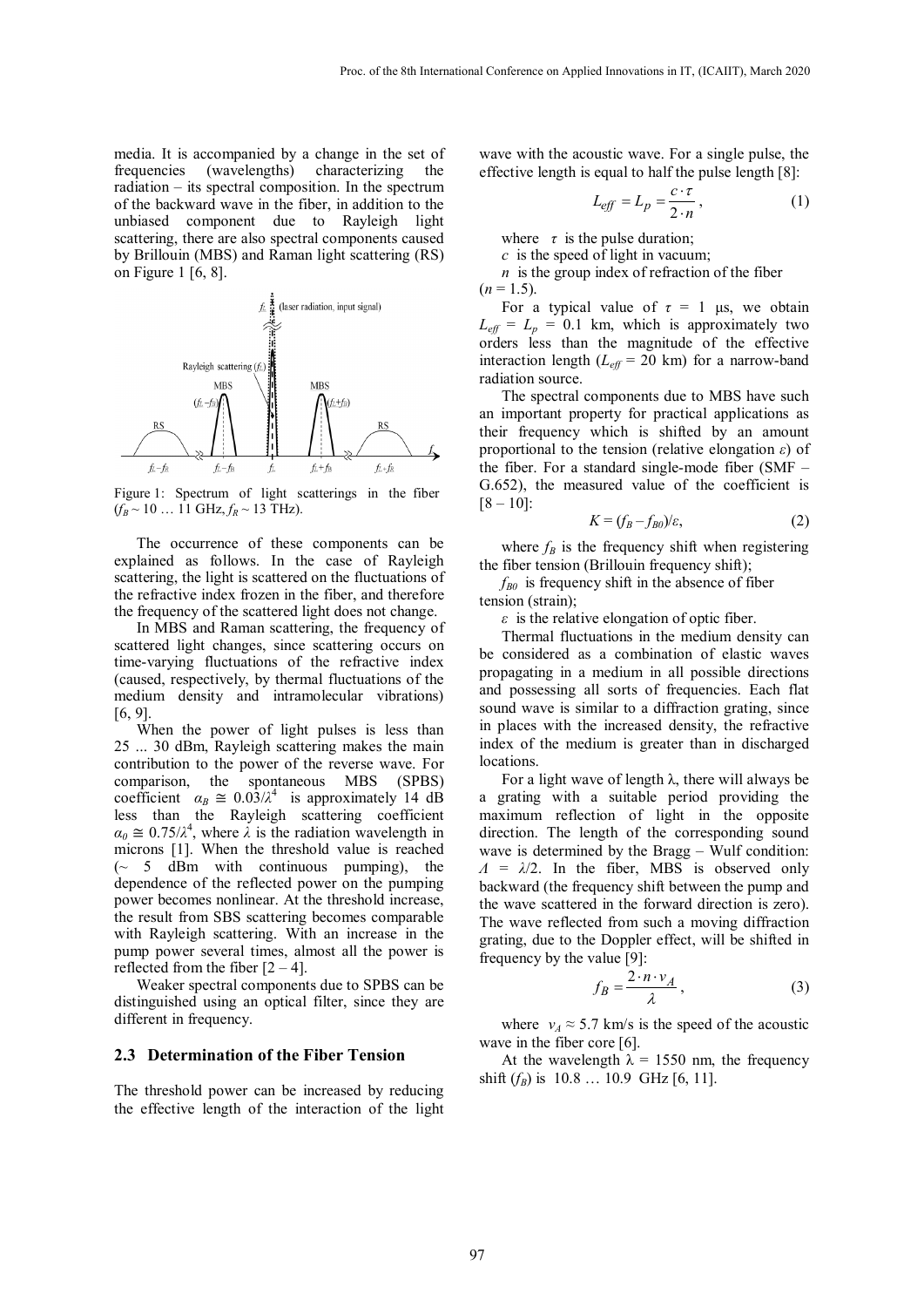media. It is accompanied by a change in the set of frequencies (wavelengths) characterizing the radiation – its spectral composition. In the spectrum of the backward wave in the fiber, in addition to the unbiased component due to Rayleigh light scattering, there are also spectral components caused by Brillouin (MBS) and Raman light scattering (RS) on Figure 1 [6, 8].



Figure 1: Spectrum of light scatterings in the fiber  $(f_R \sim 10$  ... 11 GHz,  $f_R \sim 13$  THz).

The occurrence of these components can be explained as follows. In the case of Rayleigh scattering, the light is scattered on the fluctuations of the refractive index frozen in the fiber, and therefore the frequency of the scattered light does not change.

In MBS and Raman scattering, the frequency of scattered light changes, since scattering occurs on time-varying fluctuations of the refractive index (caused, respectively, by thermal fluctuations of the medium density and intramolecular vibrations) [6, 9].

When the power of light pulses is less than 25 ... 30 dBm, Rayleigh scattering makes the main contribution to the power of the reverse wave. For comparison, the spontaneous MBS (SPBS) coefficient  $\alpha_B \approx 0.03/\lambda^4$  is approximately 14 dB less than the Rayleigh scattering coefficient  $\alpha_0 \approx 0.75/\lambda^4$ , where  $\lambda$  is the radiation wavelength in microns [1]. When the threshold value is reached  $\sim$  5 dBm with continuous pumping), the dependence of the reflected power on the pumping power becomes nonlinear. At the threshold increase, the result from SBS scattering becomes comparable with Rayleigh scattering. With an increase in the pump power several times, almost all the power is reflected from the fiber  $[2 - 4]$ .

Weaker spectral components due to SPBS can be distinguished using an optical filter, since they are different in frequency.

#### **2.3 Determination of the Fiber Tension**

The threshold power can be increased by reducing the effective length of the interaction of the light

wave with the acoustic wave. For a single pulse, the effective length is equal to half the pulse length [8]:

$$
L_{\text{eff}} = L_p = \frac{c \cdot \tau}{2 \cdot n},\tag{1}
$$

where  $\tau$  is the pulse duration;

*c* is the speed of light in vacuum;

*n* is the group index of refraction of the fiber  $(n = 1.5)$ .

For a typical value of  $\tau = 1$  μs, we obtain  $L_{\text{eff}} = L_p = 0.1$  km, which is approximately two orders less than the magnitude of the effective interaction length  $(L_{\text{eff}} = 20 \text{ km})$  for a narrow-band radiation source.

The spectral components due to MBS have such an important property for practical applications as their frequency which is shifted by an amount proportional to the tension (relative elongation *ε*) of the fiber. For a standard single-mode fiber (SMF – G.652), the measured value of the coefficient is  $[8 - 10]$ :

$$
K = (f_B - f_{B0})/\varepsilon, \tag{2}
$$

where  $f_B$  is the frequency shift when registering the fiber tension (Brillouin frequency shift);

 $f_{B0}$  is frequency shift in the absence of fiber tension (strain);

*ε* is the relative elongation of optic fiber.

Thermal fluctuations in the medium density can be considered as a combination of elastic waves propagating in a medium in all possible directions and possessing all sorts of frequencies. Each flat sound wave is similar to a diffraction grating, since in places with the increased density, the refractive index of the medium is greater than in discharged locations.

For a light wave of length  $\lambda$ , there will always be a grating with a suitable period providing the maximum reflection of light in the opposite direction. The length of the corresponding sound wave is determined by the Bragg – Wulf condition:  $Λ = λ/2$ . In the fiber, MBS is observed only backward (the frequency shift between the pump and the wave scattered in the forward direction is zero). The wave reflected from such a moving diffraction grating, due to the Doppler effect, will be shifted in frequency by the value [9]:

$$
f_B = \frac{2 \cdot n \cdot v_A}{\lambda},\tag{3}
$$

where  $v_A \approx 5.7$  km/s is the speed of the acoustic wave in the fiber core [6].

At the wavelength  $\lambda = 1550$  nm, the frequency shift  $(f_B)$  is 10.8 ... 10.9 GHz [6, 11].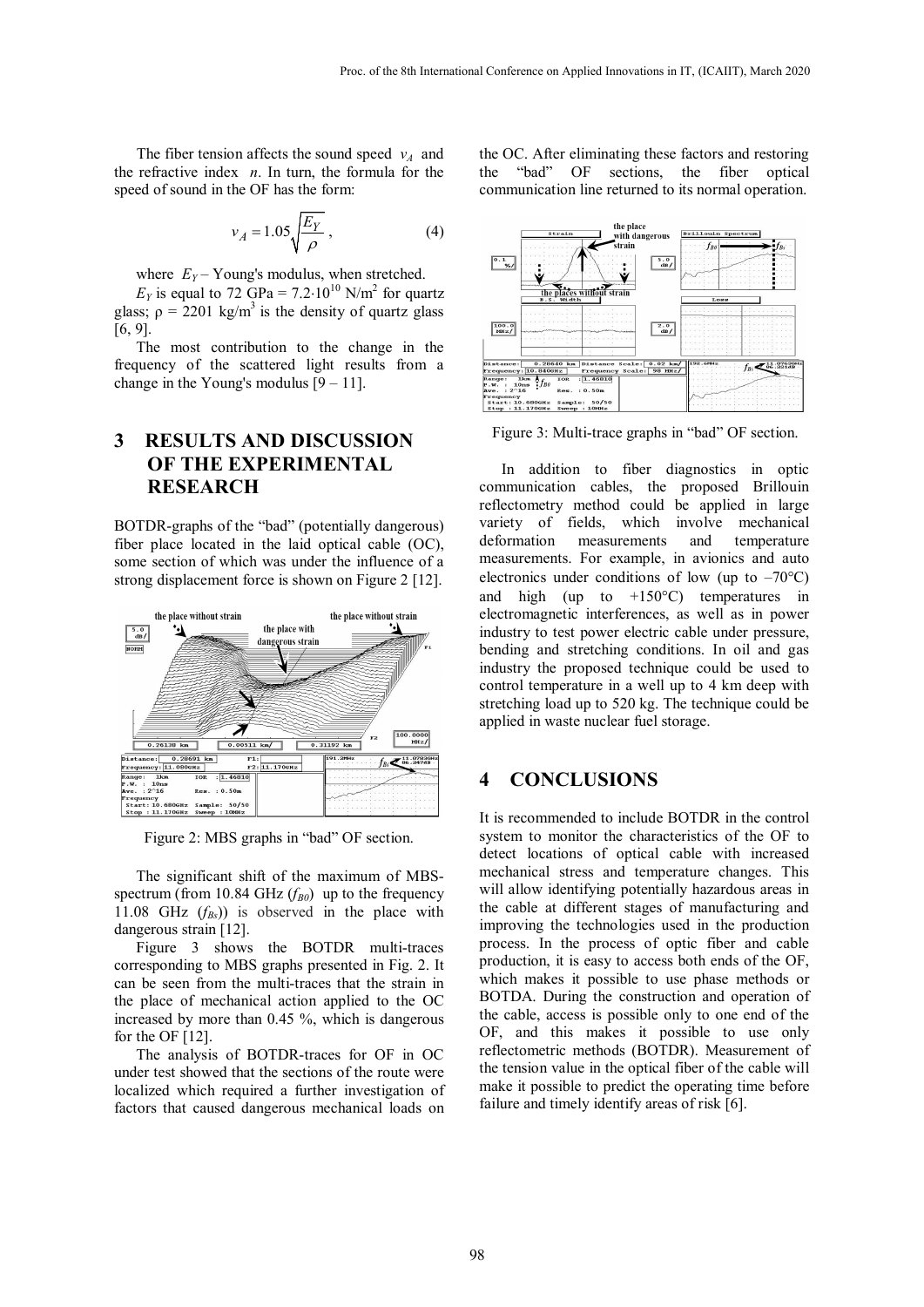The fiber tension affects the sound speed  $v_A$  and the refractive index *n*. In turn, the formula for the speed of sound in the OF has the form:

$$
v_A = 1.05 \sqrt{\frac{E_Y}{\rho}},\tag{4}
$$

where  $E_Y$  – Young's modulus, when stretched.

 $E_Y$  is equal to 72 GPa = 7.2⋅10<sup>10</sup> N/m<sup>2</sup> for quartz glass;  $\rho = 2201 \text{ kg/m}^3$  is the density of quartz glass [6, 9].

The most contribution to the change in the frequency of the scattered light results from a change in the Young's modulus  $[9 - 11]$ .

# **3 RESULTS AND DISCUSSION OF THE EXPERIMENTAL RESEARCH**

BOTDR-graphs of the "bad" (potentially dangerous) fiber place located in the laid optical cable (OC), some section of which was under the influence of a strong displacement force is shown on Figure 2 [12].



Figure 2: MBS graphs in "bad" OF section.

The significant shift of the maximum of MBSspectrum (from 10.84 GHz  $(f_{B0})$  up to the frequency 11.08 GHz  $(f_{Bs})$  is observed in the place with dangerous strain [12].

Figure 3 shows the BOTDR multi-traces corresponding to MBS graphs presented in Fig. 2. It can be seen from the multi-traces that the strain in the place of mechanical action applied to the OC increased by more than 0.45 %, which is dangerous for the OF [12].

The analysis of BOTDR-traces for OF in OC under test showed that the sections of the route were localized which required a further investigation of factors that caused dangerous mechanical loads on

the OC. After eliminating these factors and restoring the "bad" OF sections, the fiber optical communication line returned to its normal operation.



Figure 3: Multi-trace graphs in "bad" OF section.

In addition to fiber diagnostics in optic communication cables, the proposed Brillouin reflectometry method could be applied in large variety of fields, which involve mechanical deformation measurements and temperature measurements. For example, in avionics and auto electronics under conditions of low (up to  $-70^{\circ}$ C) and high (up to  $+150^{\circ}$ C) temperatures in electromagnetic interferences, as well as in power industry to test power electric cable under pressure, bending and stretching conditions. In oil and gas industry the proposed technique could be used to control temperature in a well up to 4 km deep with stretching load up to 520 kg. The technique could be applied in waste nuclear fuel storage.

# **4 CONCLUSIONS**

It is recommended to include BOTDR in the control system to monitor the characteristics of the OF to detect locations of optical cable with increased mechanical stress and temperature changes. This will allow identifying potentially hazardous areas in the cable at different stages of manufacturing and improving the technologies used in the production process. In the process of optic fiber and cable production, it is easy to access both ends of the OF, which makes it possible to use phase methods or BOTDA. During the construction and operation of the cable, access is possible only to one end of the OF, and this makes it possible to use only reflectometric methods (BOTDR). Measurement of the tension value in the optical fiber of the cable will make it possible to predict the operating time before failure and timely identify areas of risk [6].